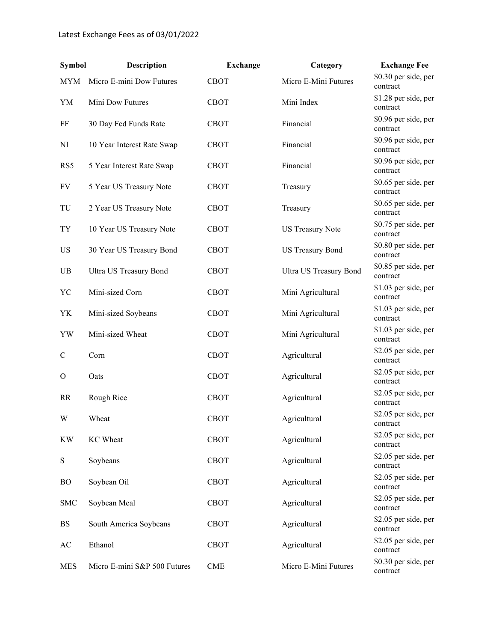| <b>Symbol</b> | Description                  | <b>Exchange</b> | Category                      | <b>Exchange Fee</b>              |
|---------------|------------------------------|-----------------|-------------------------------|----------------------------------|
| MYM           | Micro E-mini Dow Futures     | <b>CBOT</b>     | Micro E-Mini Futures          | \$0.30 per side, per<br>contract |
| YM            | Mini Dow Futures             | <b>CBOT</b>     | Mini Index                    | \$1.28 per side, per<br>contract |
| FF            | 30 Day Fed Funds Rate        | <b>CBOT</b>     | Financial                     | \$0.96 per side, per<br>contract |
| NI            | 10 Year Interest Rate Swap   | <b>CBOT</b>     | Financial                     | \$0.96 per side, per<br>contract |
| RS5           | 5 Year Interest Rate Swap    | <b>CBOT</b>     | Financial                     | \$0.96 per side, per<br>contract |
| FV            | 5 Year US Treasury Note      | <b>CBOT</b>     | Treasury                      | \$0.65 per side, per<br>contract |
| TU            | 2 Year US Treasury Note      | <b>CBOT</b>     | Treasury                      | \$0.65 per side, per<br>contract |
| TY            | 10 Year US Treasury Note     | <b>CBOT</b>     | <b>US Treasury Note</b>       | \$0.75 per side, per<br>contract |
| US            | 30 Year US Treasury Bond     | <b>CBOT</b>     | <b>US Treasury Bond</b>       | \$0.80 per side, per<br>contract |
| UB            | Ultra US Treasury Bond       | <b>CBOT</b>     | <b>Ultra US Treasury Bond</b> | \$0.85 per side, per<br>contract |
| YC            | Mini-sized Corn              | <b>CBOT</b>     | Mini Agricultural             | \$1.03 per side, per<br>contract |
| YK            | Mini-sized Soybeans          | <b>CBOT</b>     | Mini Agricultural             | \$1.03 per side, per<br>contract |
| YW            | Mini-sized Wheat             | <b>CBOT</b>     | Mini Agricultural             | \$1.03 per side, per<br>contract |
| $\mathsf{C}$  | Corn                         | <b>CBOT</b>     | Agricultural                  | \$2.05 per side, per<br>contract |
| $\mathbf{O}$  | Oats                         | <b>CBOT</b>     | Agricultural                  | \$2.05 per side, per<br>contract |
| <b>RR</b>     | Rough Rice                   | <b>CBOT</b>     | Agricultural                  | \$2.05 per side, per<br>contract |
| W             | Wheat                        | <b>CBOT</b>     | Agricultural                  | \$2.05 per side, per<br>contract |
| <b>KW</b>     | KC Wheat                     | <b>CBOT</b>     | Agricultural                  | \$2.05 per side, per<br>contract |
| ${\bf S}$     | Soybeans                     | <b>CBOT</b>     | Agricultural                  | \$2.05 per side, per<br>contract |
| <b>BO</b>     | Soybean Oil                  | <b>CBOT</b>     | Agricultural                  | \$2.05 per side, per<br>contract |
| <b>SMC</b>    | Soybean Meal                 | <b>CBOT</b>     | Agricultural                  | \$2.05 per side, per<br>contract |
| BS            | South America Soybeans       | <b>CBOT</b>     | Agricultural                  | \$2.05 per side, per<br>contract |
| AC            | Ethanol                      | <b>CBOT</b>     | Agricultural                  | \$2.05 per side, per<br>contract |
| <b>MES</b>    | Micro E-mini S&P 500 Futures | <b>CME</b>      | Micro E-Mini Futures          | \$0.30 per side, per<br>contract |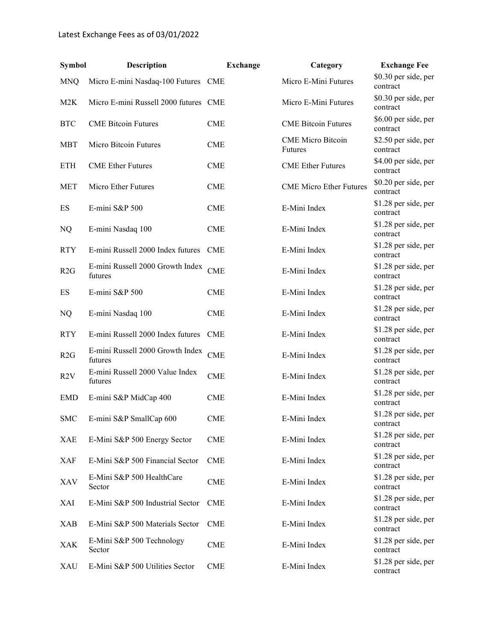| <b>Symbol</b> | <b>Description</b>                          | <b>Exchange</b> | Category                            | <b>Exchange Fee</b>              |
|---------------|---------------------------------------------|-----------------|-------------------------------------|----------------------------------|
| <b>MNQ</b>    | Micro E-mini Nasdaq-100 Futures CME         |                 | Micro E-Mini Futures                | \$0.30 per side, per<br>contract |
| M2K           | Micro E-mini Russell 2000 futures CME       |                 | Micro E-Mini Futures                | \$0.30 per side, per<br>contract |
| <b>BTC</b>    | <b>CME Bitcoin Futures</b>                  | <b>CME</b>      | <b>CME Bitcoin Futures</b>          | \$6.00 per side, per<br>contract |
| <b>MBT</b>    | Micro Bitcoin Futures                       | <b>CME</b>      | <b>CME</b> Micro Bitcoin<br>Futures | \$2.50 per side, per<br>contract |
| <b>ETH</b>    | <b>CME</b> Ether Futures                    | <b>CME</b>      | <b>CME</b> Ether Futures            | \$4.00 per side, per<br>contract |
| <b>MET</b>    | Micro Ether Futures                         | <b>CME</b>      | <b>CME Micro Ether Futures</b>      | \$0.20 per side, per<br>contract |
| ES            | E-mini S&P 500                              | <b>CME</b>      | E-Mini Index                        | \$1.28 per side, per<br>contract |
| NQ            | E-mini Nasdaq 100                           | <b>CME</b>      | E-Mini Index                        | \$1.28 per side, per<br>contract |
| <b>RTY</b>    | E-mini Russell 2000 Index futures           | <b>CME</b>      | E-Mini Index                        | \$1.28 per side, per<br>contract |
| R2G           | E-mini Russell 2000 Growth Index<br>futures | <b>CME</b>      | E-Mini Index                        | \$1.28 per side, per<br>contract |
| ES            | E-mini S&P 500                              | <b>CME</b>      | E-Mini Index                        | \$1.28 per side, per<br>contract |
| NQ            | E-mini Nasdaq 100                           | <b>CME</b>      | E-Mini Index                        | \$1.28 per side, per<br>contract |
| <b>RTY</b>    | E-mini Russell 2000 Index futures CME       |                 | E-Mini Index                        | \$1.28 per side, per<br>contract |
| R2G           | E-mini Russell 2000 Growth Index<br>futures | <b>CME</b>      | E-Mini Index                        | \$1.28 per side, per<br>contract |
| R2V           | E-mini Russell 2000 Value Index<br>futures  | <b>CME</b>      | E-Mini Index                        | \$1.28 per side, per<br>contract |
| <b>EMD</b>    | E-mini S&P MidCap 400                       | <b>CME</b>      | E-Mini Index                        | \$1.28 per side, per<br>contract |
| <b>SMC</b>    | E-mini S&P SmallCap 600                     | <b>CME</b>      | E-Mini Index                        | \$1.28 per side, per<br>contract |
| XAE           | E-Mini S&P 500 Energy Sector                | <b>CME</b>      | E-Mini Index                        | \$1.28 per side, per<br>contract |
| XAF           | E-Mini S&P 500 Financial Sector             | <b>CME</b>      | E-Mini Index                        | \$1.28 per side, per<br>contract |
| XAV           | E-Mini S&P 500 HealthCare<br>Sector         | <b>CME</b>      | E-Mini Index                        | \$1.28 per side, per<br>contract |
| XAI           | E-Mini S&P 500 Industrial Sector            | <b>CME</b>      | E-Mini Index                        | \$1.28 per side, per<br>contract |
| XAB           | E-Mini S&P 500 Materials Sector             | <b>CME</b>      | E-Mini Index                        | \$1.28 per side, per<br>contract |
| XAK           | E-Mini S&P 500 Technology<br>Sector         | <b>CME</b>      | E-Mini Index                        | \$1.28 per side, per<br>contract |
| XAU           | E-Mini S&P 500 Utilities Sector             | <b>CME</b>      | E-Mini Index                        | \$1.28 per side, per<br>contract |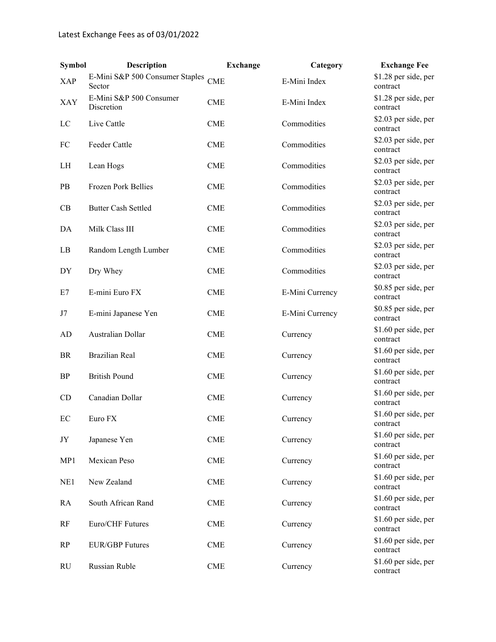| <b>Symbol</b> | Description                                   | <b>Exchange</b> | Category        | <b>Exchange Fee</b>              |
|---------------|-----------------------------------------------|-----------------|-----------------|----------------------------------|
| <b>XAP</b>    | E-Mini S&P 500 Consumer Staples CME<br>Sector |                 | E-Mini Index    | \$1.28 per side, per<br>contract |
| XAY           | E-Mini S&P 500 Consumer<br>Discretion         | <b>CME</b>      | E-Mini Index    | \$1.28 per side, per<br>contract |
| LC            | Live Cattle                                   | <b>CME</b>      | Commodities     | \$2.03 per side, per<br>contract |
| FC            | Feeder Cattle                                 | <b>CME</b>      | Commodities     | \$2.03 per side, per<br>contract |
| LH            | Lean Hogs                                     | <b>CME</b>      | Commodities     | \$2.03 per side, per<br>contract |
| PB            | Frozen Pork Bellies                           | <b>CME</b>      | Commodities     | \$2.03 per side, per<br>contract |
| CB            | <b>Butter Cash Settled</b>                    | <b>CME</b>      | Commodities     | \$2.03 per side, per<br>contract |
| DA            | Milk Class III                                | <b>CME</b>      | Commodities     | \$2.03 per side, per<br>contract |
| LB            | Random Length Lumber                          | <b>CME</b>      | Commodities     | \$2.03 per side, per<br>contract |
| DY            | Dry Whey                                      | <b>CME</b>      | Commodities     | \$2.03 per side, per<br>contract |
| E7            | E-mini Euro FX                                | <b>CME</b>      | E-Mini Currency | \$0.85 per side, per<br>contract |
| J7            | E-mini Japanese Yen                           | <b>CME</b>      | E-Mini Currency | \$0.85 per side, per<br>contract |
| AD            | Australian Dollar                             | <b>CME</b>      | Currency        | \$1.60 per side, per<br>contract |
| BR            | <b>Brazilian Real</b>                         | <b>CME</b>      | Currency        | \$1.60 per side, per<br>contract |
| <b>BP</b>     | <b>British Pound</b>                          | <b>CME</b>      | Currency        | \$1.60 per side, per<br>contract |
| CD            | Canadian Dollar                               | <b>CME</b>      | Currency        | \$1.60 per side, per<br>contract |
| EC            | Euro FX                                       | <b>CME</b>      | Currency        | \$1.60 per side, per<br>contract |
| JY            | Japanese Yen                                  | <b>CME</b>      | Currency        | \$1.60 per side, per<br>contract |
| MP1           | Mexican Peso                                  | <b>CME</b>      | Currency        | \$1.60 per side, per<br>contract |
| NE1           | New Zealand                                   | <b>CME</b>      | Currency        | \$1.60 per side, per<br>contract |
| RA            | South African Rand                            | <b>CME</b>      | Currency        | \$1.60 per side, per<br>contract |
| RF            | Euro/CHF Futures                              | <b>CME</b>      | Currency        | \$1.60 per side, per<br>contract |
| RP            | <b>EUR/GBP</b> Futures                        | <b>CME</b>      | Currency        | \$1.60 per side, per<br>contract |
| RU            | Russian Ruble                                 | <b>CME</b>      | Currency        | \$1.60 per side, per<br>contract |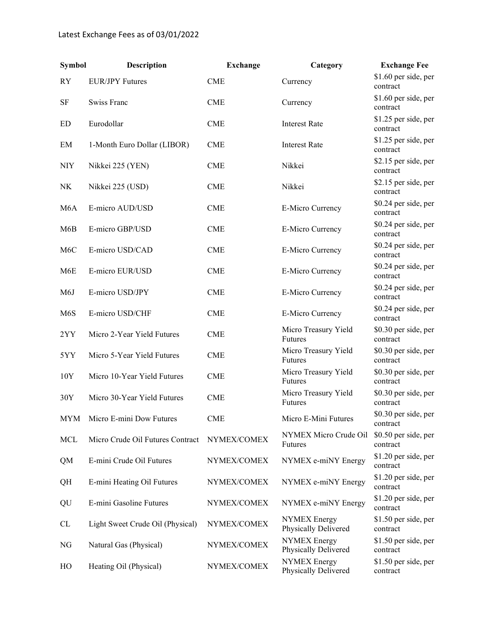| <b>Symbol</b>    | Description                      | <b>Exchange</b> | Category                                    | <b>Exchange Fee</b>              |
|------------------|----------------------------------|-----------------|---------------------------------------------|----------------------------------|
| <b>RY</b>        | <b>EUR/JPY Futures</b>           | <b>CME</b>      | Currency                                    | \$1.60 per side, per<br>contract |
| SF               | <b>Swiss Franc</b>               | <b>CME</b>      | Currency                                    | \$1.60 per side, per<br>contract |
| ED               | Eurodollar                       | <b>CME</b>      | <b>Interest Rate</b>                        | \$1.25 per side, per<br>contract |
| EM               | 1-Month Euro Dollar (LIBOR)      | <b>CME</b>      | <b>Interest Rate</b>                        | \$1.25 per side, per<br>contract |
| <b>NIY</b>       | Nikkei 225 (YEN)                 | <b>CME</b>      | Nikkei                                      | \$2.15 per side, per<br>contract |
| NK               | Nikkei 225 (USD)                 | <b>CME</b>      | Nikkei                                      | \$2.15 per side, per<br>contract |
| M <sub>6</sub> A | E-micro AUD/USD                  | <b>CME</b>      | E-Micro Currency                            | \$0.24 per side, per<br>contract |
| M6B              | E-micro GBP/USD                  | <b>CME</b>      | E-Micro Currency                            | \$0.24 per side, per<br>contract |
| M <sub>6</sub> C | E-micro USD/CAD                  | <b>CME</b>      | E-Micro Currency                            | \$0.24 per side, per<br>contract |
| M6E              | E-micro EUR/USD                  | <b>CME</b>      | E-Micro Currency                            | \$0.24 per side, per<br>contract |
| M <sub>6</sub> J | E-micro USD/JPY                  | <b>CME</b>      | E-Micro Currency                            | \$0.24 per side, per<br>contract |
| M6S              | E-micro USD/CHF                  | <b>CME</b>      | E-Micro Currency                            | \$0.24 per side, per<br>contract |
| 2YY              | Micro 2-Year Yield Futures       | <b>CME</b>      | Micro Treasury Yield<br>Futures             | \$0.30 per side, per<br>contract |
| 5YY              | Micro 5-Year Yield Futures       | <b>CME</b>      | Micro Treasury Yield<br>Futures             | \$0.30 per side, per<br>contract |
| 10Y              | Micro 10-Year Yield Futures      | <b>CME</b>      | Micro Treasury Yield<br>Futures             | \$0.30 per side, per<br>contract |
| 30Y              | Micro 30-Year Yield Futures      | <b>CME</b>      | Micro Treasury Yield<br>Futures             | \$0.30 per side, per<br>contract |
| <b>MYM</b>       | Micro E-mini Dow Futures         | <b>CME</b>      | Micro E-Mini Futures                        | \$0.30 per side, per<br>contract |
| <b>MCL</b>       | Micro Crude Oil Futures Contract | NYMEX/COMEX     | NYMEX Micro Crude Oil<br>Futures            | \$0.50 per side, per<br>contract |
| QM               | E-mini Crude Oil Futures         | NYMEX/COMEX     | NYMEX e-miNY Energy                         | \$1.20 per side, per<br>contract |
| QH               | E-mini Heating Oil Futures       | NYMEX/COMEX     | NYMEX e-miNY Energy                         | \$1.20 per side, per<br>contract |
| QU               | E-mini Gasoline Futures          | NYMEX/COMEX     | NYMEX e-miNY Energy                         | \$1.20 per side, per<br>contract |
| CL               | Light Sweet Crude Oil (Physical) | NYMEX/COMEX     | <b>NYMEX</b> Energy<br>Physically Delivered | \$1.50 per side, per<br>contract |
| NG               | Natural Gas (Physical)           | NYMEX/COMEX     | <b>NYMEX Energy</b><br>Physically Delivered | \$1.50 per side, per<br>contract |
| HO               | Heating Oil (Physical)           | NYMEX/COMEX     | <b>NYMEX</b> Energy<br>Physically Delivered | \$1.50 per side, per<br>contract |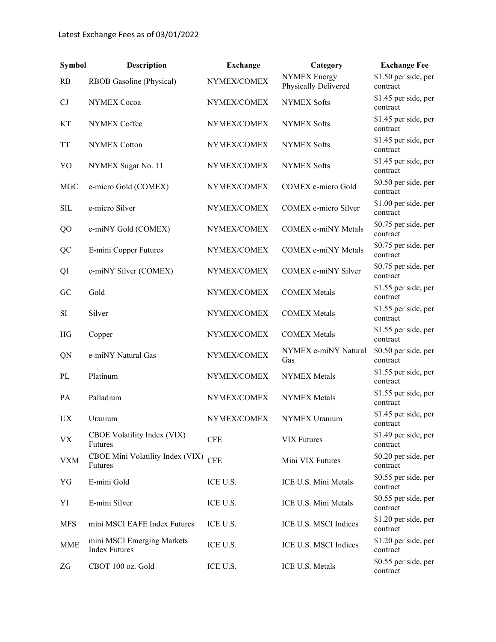| <b>Symbol</b>          | <b>Description</b>                                 | <b>Exchange</b> | Category                                    | <b>Exchange Fee</b>              |
|------------------------|----------------------------------------------------|-----------------|---------------------------------------------|----------------------------------|
| RB                     | RBOB Gasoline (Physical)                           | NYMEX/COMEX     | <b>NYMEX Energy</b><br>Physically Delivered | \$1.50 per side, per<br>contract |
| CJ                     | <b>NYMEX Cocoa</b>                                 | NYMEX/COMEX     | <b>NYMEX Softs</b>                          | \$1.45 per side, per<br>contract |
| KТ                     | NYMEX Coffee                                       | NYMEX/COMEX     | <b>NYMEX Softs</b>                          | \$1.45 per side, per<br>contract |
| TT                     | <b>NYMEX Cotton</b>                                | NYMEX/COMEX     | <b>NYMEX Softs</b>                          | \$1.45 per side, per<br>contract |
| YO                     | NYMEX Sugar No. 11                                 | NYMEX/COMEX     | <b>NYMEX Softs</b>                          | \$1.45 per side, per<br>contract |
| <b>MGC</b>             | e-micro Gold (COMEX)                               | NYMEX/COMEX     | COMEX e-micro Gold                          | \$0.50 per side, per<br>contract |
| <b>SIL</b>             | e-micro Silver                                     | NYMEX/COMEX     | COMEX e-micro Silver                        | \$1.00 per side, per<br>contract |
| QO                     | e-miNY Gold (COMEX)                                | NYMEX/COMEX     | COMEX e-miNY Metals                         | \$0.75 per side, per<br>contract |
| QC                     | E-mini Copper Futures                              | NYMEX/COMEX     | <b>COMEX e-miNY Metals</b>                  | \$0.75 per side, per<br>contract |
| QI                     | e-miNY Silver (COMEX)                              | NYMEX/COMEX     | COMEX e-miNY Silver                         | \$0.75 per side, per<br>contract |
| GC                     | Gold                                               | NYMEX/COMEX     | <b>COMEX Metals</b>                         | \$1.55 per side, per<br>contract |
| SI                     | Silver                                             | NYMEX/COMEX     | <b>COMEX Metals</b>                         | \$1.55 per side, per<br>contract |
| HG                     | Copper                                             | NYMEX/COMEX     | <b>COMEX Metals</b>                         | \$1.55 per side, per<br>contract |
| QN                     | e-miNY Natural Gas                                 | NYMEX/COMEX     | NYMEX e-miNY Natural<br>Gas                 | \$0.50 per side, per<br>contract |
| PL                     | Platinum                                           | NYMEX/COMEX     | <b>NYMEX Metals</b>                         | \$1.55 per side, per<br>contract |
| PA                     | Palladium                                          | NYMEX/COMEX     | <b>NYMEX Metals</b>                         | \$1.55 per side, per<br>contract |
| $\mathbf{U}\mathbf{X}$ | Uranium                                            | NYMEX/COMEX     | NYMEX Uranium                               | \$1.45 per side, per<br>contract |
| <b>VX</b>              | CBOE Volatility Index (VIX)<br>Futures             | <b>CFE</b>      | <b>VIX Futures</b>                          | \$1.49 per side, per<br>contract |
| <b>VXM</b>             | CBOE Mini Volatility Index (VIX)<br>Futures        | <b>CFE</b>      | Mini VIX Futures                            | \$0.20 per side, per<br>contract |
| YG                     | E-mini Gold                                        | ICE U.S.        | ICE U.S. Mini Metals                        | \$0.55 per side, per<br>contract |
| YI                     | E-mini Silver                                      | ICE U.S.        | ICE U.S. Mini Metals                        | \$0.55 per side, per<br>contract |
| <b>MFS</b>             | mini MSCI EAFE Index Futures                       | ICE U.S.        | ICE U.S. MSCI Indices                       | \$1.20 per side, per<br>contract |
| MME                    | mini MSCI Emerging Markets<br><b>Index Futures</b> | ICE U.S.        | ICE U.S. MSCI Indices                       | \$1.20 per side, per<br>contract |
| ZG                     | CBOT 100 oz. Gold                                  | ICE U.S.        | ICE U.S. Metals                             | \$0.55 per side, per<br>contract |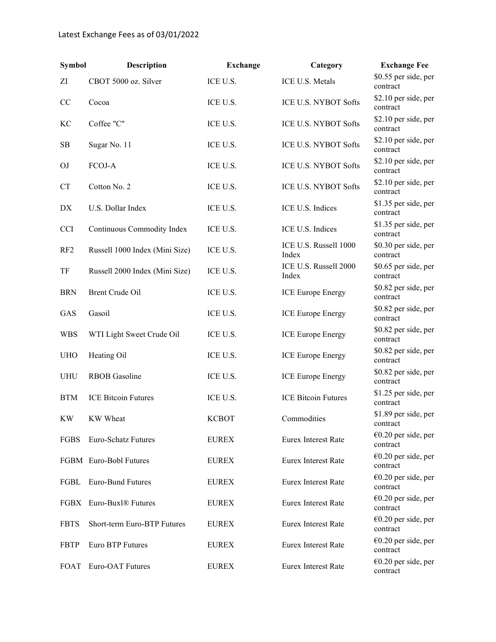| <b>Symbol</b>   | Description                    | <b>Exchange</b> | Category                       | <b>Exchange Fee</b>               |
|-----------------|--------------------------------|-----------------|--------------------------------|-----------------------------------|
| ΖI              | CBOT 5000 oz. Silver           | ICE U.S.        | <b>ICE U.S. Metals</b>         | \$0.55 per side, per<br>contract  |
| CC              | Cocoa                          | ICE U.S.        | ICE U.S. NYBOT Softs           | \$2.10 per side, per<br>contract  |
| KС              | Coffee "C"                     | ICE U.S.        | ICE U.S. NYBOT Softs           | \$2.10 per side, per<br>contract  |
| SB              | Sugar No. 11                   | ICE U.S.        | ICE U.S. NYBOT Softs           | \$2.10 per side, per<br>contract  |
| OJ              | FCOJ-A                         | ICE U.S.        | ICE U.S. NYBOT Softs           | \$2.10 per side, per<br>contract  |
| CT              | Cotton No. 2                   | ICE U.S.        | ICE U.S. NYBOT Softs           | \$2.10 per side, per<br>contract  |
| DX              | U.S. Dollar Index              | ICE U.S.        | ICE U.S. Indices               | \$1.35 per side, per<br>contract  |
| <b>CCI</b>      | Continuous Commodity Index     | ICE U.S.        | ICE U.S. Indices               | \$1.35 per side, per<br>contract  |
| RF <sub>2</sub> | Russell 1000 Index (Mini Size) | ICE U.S.        | ICE U.S. Russell 1000<br>Index | \$0.30 per side, per<br>contract  |
| TF              | Russell 2000 Index (Mini Size) | ICE U.S.        | ICE U.S. Russell 2000<br>Index | \$0.65 per side, per<br>contract  |
| <b>BRN</b>      | Brent Crude Oil                | ICE U.S.        | <b>ICE Europe Energy</b>       | \$0.82 per side, per<br>contract  |
| GAS             | Gasoil                         | ICE U.S.        | <b>ICE Europe Energy</b>       | \$0.82 per side, per<br>contract  |
| <b>WBS</b>      | WTI Light Sweet Crude Oil      | ICE U.S.        | <b>ICE Europe Energy</b>       | \$0.82 per side, per<br>contract  |
| <b>UHO</b>      | Heating Oil                    | ICE U.S.        | <b>ICE Europe Energy</b>       | \$0.82 per side, per<br>contract  |
| <b>UHU</b>      | <b>RBOB</b> Gasoline           | ICE U.S.        | <b>ICE Europe Energy</b>       | \$0.82 per side, per<br>contract  |
| <b>BTM</b>      | <b>ICE Bitcoin Futures</b>     | ICE U.S.        | <b>ICE Bitcoin Futures</b>     | \$1.25 per side, per<br>contract  |
| KW              | KW Wheat                       | <b>KCBOT</b>    | Commodities                    | \$1.89 per side, per<br>contract  |
| FGBS            | Euro-Schatz Futures            | <b>EUREX</b>    | Eurex Interest Rate            | $€0.20$ per side, per<br>contract |
|                 | FGBM Euro-Bobl Futures         | <b>EUREX</b>    | Eurex Interest Rate            | $€0.20$ per side, per<br>contract |
| FGBL            | <b>Euro-Bund Futures</b>       | <b>EUREX</b>    | Eurex Interest Rate            | $€0.20$ per side, per<br>contract |
| <b>FGBX</b>     | Euro-Buxl <sup>®</sup> Futures | <b>EUREX</b>    | Eurex Interest Rate            | $€0.20$ per side, per<br>contract |
| <b>FBTS</b>     | Short-term Euro-BTP Futures    | <b>EUREX</b>    | Eurex Interest Rate            | $€0.20$ per side, per<br>contract |
| <b>FBTP</b>     | Euro BTP Futures               | <b>EUREX</b>    | Eurex Interest Rate            | $€0.20$ per side, per<br>contract |
| FOAT            | Euro-OAT Futures               | <b>EUREX</b>    | Eurex Interest Rate            | $€0.20$ per side, per<br>contract |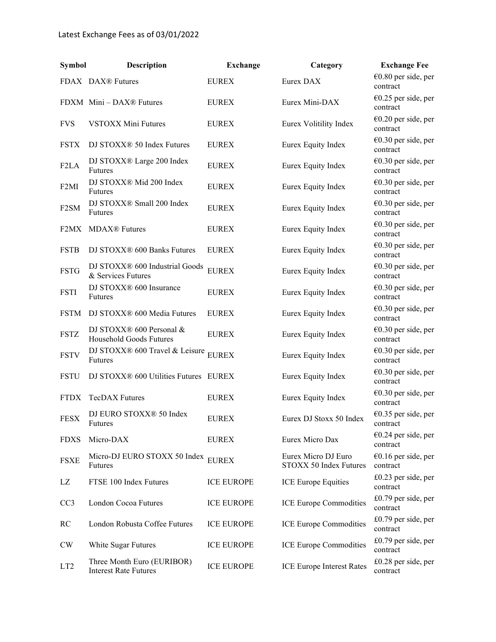| <b>Symbol</b>     | <b>Description</b>                                         | <b>Exchange</b>   | Category                                      | <b>Exchange Fee</b>               |
|-------------------|------------------------------------------------------------|-------------------|-----------------------------------------------|-----------------------------------|
|                   | FDAX DAX® Futures                                          | <b>EUREX</b>      | Eurex DAX                                     | €0.80 per side, per<br>contract   |
|                   | FDXM Mini - DAX® Futures                                   | <b>EUREX</b>      | Eurex Mini-DAX                                | €0.25 per side, per<br>contract   |
| <b>FVS</b>        | <b>VSTOXX Mini Futures</b>                                 | <b>EUREX</b>      | Eurex Volitility Index                        | €0.20 per side, per<br>contract   |
| <b>FSTX</b>       | DJ STOXX® 50 Index Futures                                 | <b>EUREX</b>      | Eurex Equity Index                            | $€0.30$ per side, per<br>contract |
| F <sub>2</sub> LA | DJ STOXX® Large 200 Index<br>Futures                       | <b>EUREX</b>      | Eurex Equity Index                            | $€0.30$ per side, per<br>contract |
| F <sub>2</sub> MI | DJ STOXX® Mid 200 Index<br>Futures                         | <b>EUREX</b>      | Eurex Equity Index                            | €0.30 per side, per<br>contract   |
| F <sub>2</sub> SM | DJ STOXX® Small 200 Index<br>Futures                       | <b>EUREX</b>      | Eurex Equity Index                            | €0.30 per side, per<br>contract   |
| F <sub>2</sub> MX | <b>MDAX®</b> Futures                                       | <b>EUREX</b>      | Eurex Equity Index                            | $€0.30$ per side, per<br>contract |
| <b>FSTB</b>       | DJ STOXX® 600 Banks Futures                                | <b>EUREX</b>      | Eurex Equity Index                            | €0.30 per side, per<br>contract   |
| <b>FSTG</b>       | DJ STOXX® 600 Industrial Goods<br>& Services Futures       | <b>EUREX</b>      | Eurex Equity Index                            | $€0.30$ per side, per<br>contract |
| <b>FSTI</b>       | DJ STOXX® 600 Insurance<br>Futures                         | <b>EUREX</b>      | Eurex Equity Index                            | $€0.30$ per side, per<br>contract |
| <b>FSTM</b>       | DJ STOXX® 600 Media Futures                                | <b>EUREX</b>      | Eurex Equity Index                            | €0.30 per side, per<br>contract   |
| <b>FSTZ</b>       | DJ STOXX® 600 Personal &<br>Household Goods Futures        | <b>EUREX</b>      | Eurex Equity Index                            | €0.30 per side, per<br>contract   |
| <b>FSTV</b>       | DJ STOXX® 600 Travel & Leisure<br>Futures                  | <b>EUREX</b>      | Eurex Equity Index                            | $€0.30$ per side, per<br>contract |
| <b>FSTU</b>       | DJ STOXX® 600 Utilities Futures EUREX                      |                   | Eurex Equity Index                            | €0.30 per side, per<br>contract   |
| <b>FTDX</b>       | <b>TecDAX Futures</b>                                      | <b>EUREX</b>      | Eurex Equity Index                            | $€0.30$ per side, per<br>contract |
| <b>FESX</b>       | DJ EURO STOXX® 50 Index<br>Futures                         | <b>EUREX</b>      | Eurex DJ Stoxx 50 Index                       | €0.35 per side, per<br>contract   |
| <b>FDXS</b>       | Micro-DAX                                                  | <b>EUREX</b>      | Eurex Micro Dax                               | $€0.24$ per side, per<br>contract |
| <b>FSXE</b>       | Micro-DJ EURO STOXX 50 Index<br>Futures                    | <b>EUREX</b>      | Eurex Micro DJ Euro<br>STOXX 50 Index Futures | $€0.16$ per side, per<br>contract |
| LZ                | FTSE 100 Index Futures                                     | <b>ICE EUROPE</b> | ICE Europe Equities                           | £0.23 per side, per<br>contract   |
| CC <sub>3</sub>   | London Cocoa Futures                                       | <b>ICE EUROPE</b> | ICE Europe Commodities                        | $£0.79$ per side, per<br>contract |
| RC                | London Robusta Coffee Futures                              | <b>ICE EUROPE</b> | ICE Europe Commodities                        | $£0.79$ per side, per<br>contract |
| <b>CW</b>         | White Sugar Futures                                        | <b>ICE EUROPE</b> | ICE Europe Commodities                        | £0.79 per side, per<br>contract   |
| LT <sub>2</sub>   | Three Month Euro (EURIBOR)<br><b>Interest Rate Futures</b> | <b>ICE EUROPE</b> | <b>ICE Europe Interest Rates</b>              | £0.28 per side, per<br>contract   |